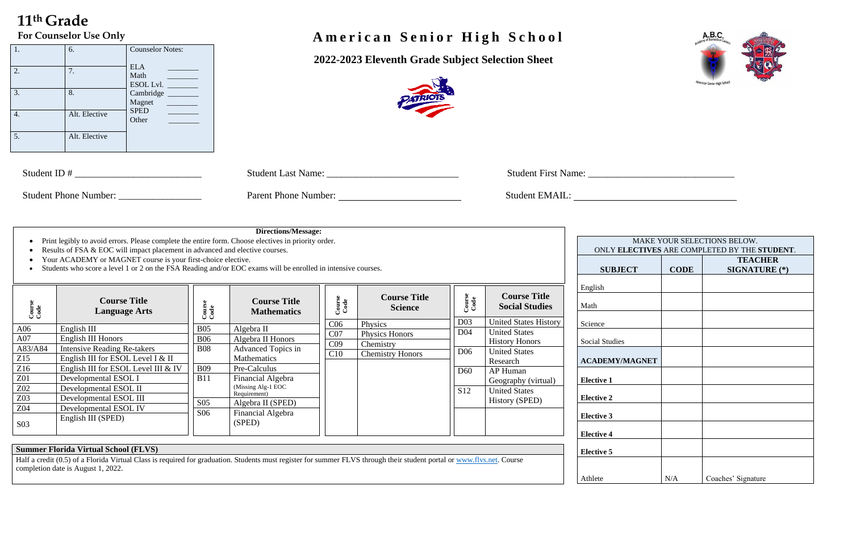# **11 th Grade**

 **2022-2023 Eleventh Grade Subject Selection Sheet**



| Student ID #                 | <b>Student Last Name:</b>   | <b>Student First Name:</b> |
|------------------------------|-----------------------------|----------------------------|
|                              |                             |                            |
| <b>Student Phone Number:</b> | <b>Parent Phone Number:</b> | Student EMAIL.             |

#### 1. 6. Counselor Notes:  $ELA$ Math \_\_\_\_\_\_\_\_ ESOL Lvl. Cambridge \_ Magnet \_\_\_\_\_\_\_\_ SPED \_\_\_\_\_\_\_\_ Other \_\_\_\_\_\_\_\_ 2. 7.  $3.$  8. 4. Alt. Elective 5. Alt. Elective

## For Counselor Use Only<br> **A** m e r i c a n S e n i o r H i g h S c h o o l

|                     |             | MAKE YOUR SELECTIONS BELOW.<br>ONLY ELECTIVES ARE COMPLETED BY THE STUDENT. |
|---------------------|-------------|-----------------------------------------------------------------------------|
| <b>SUBJECT</b>      | <b>CODE</b> | <b>TEACHER</b><br><b>SIGNATURE</b> (*)                                      |
| ish                 |             |                                                                             |
| ı                   |             |                                                                             |
| nce                 |             |                                                                             |
| al Studies          |             |                                                                             |
| <b>ADEMY/MAGNET</b> |             |                                                                             |
| tive 1              |             |                                                                             |
| tive 2              |             |                                                                             |
| tive 3              |             |                                                                             |
| tive 4              |             |                                                                             |
| tive 5              |             |                                                                             |
| ete                 | N/A         | Coaches' Signature                                                          |

**Elective 5**





Half a credit (0.5) of a Florida Virtual Class is required for graduation. Students must register for summer FLVS through their student portal or [www.flvs.net.](http://www.flvs.net/) Course completion date is August 1, 2022.

Athlete

|                                                                                           | Print legibly to avoid errors. Please complete the entire form. Choose electives in priority order.<br>Results of FSA & EOC will impact placement in advanced and elective courses.<br>Your ACADEMY or MAGNET course is your first-choice elective.<br>Students who score a level 1 or 2 on the FSA Reading and/or EOC exams will be enrolled in intensive courses. |                                                                                                     | <b>Directions/Message:</b>                                                                                                                                                                          |                                                  |                                                                   |                                                                          |                                                                                                                                                                | <b>MAKE</b><br><b>ONLY ELECTIVE</b><br><b>SUBJECT</b>                                                                              |
|-------------------------------------------------------------------------------------------|---------------------------------------------------------------------------------------------------------------------------------------------------------------------------------------------------------------------------------------------------------------------------------------------------------------------------------------------------------------------|-----------------------------------------------------------------------------------------------------|-----------------------------------------------------------------------------------------------------------------------------------------------------------------------------------------------------|--------------------------------------------------|-------------------------------------------------------------------|--------------------------------------------------------------------------|----------------------------------------------------------------------------------------------------------------------------------------------------------------|------------------------------------------------------------------------------------------------------------------------------------|
| Course<br>Code                                                                            | <b>Course Title</b><br><b>Language Arts</b>                                                                                                                                                                                                                                                                                                                         | Course<br>Code                                                                                      | <b>Course Title</b><br><b>Mathematics</b>                                                                                                                                                           | Course<br>Code                                   | <b>Course Title</b><br><b>Science</b>                             | Course<br>Code<br>D <sub>03</sub>                                        | <b>Course Title</b><br><b>Social Studies</b><br><b>United States History</b>                                                                                   | English<br>Math<br>Science                                                                                                         |
| A06<br>A07<br>A83/A84<br>Z15<br>Z16<br>Z01<br>Z02<br>Z03<br><b>Z04</b><br>S <sub>03</sub> | English III<br>English III Honors<br><b>Intensive Reading Re-takers</b><br>English III for ESOL Level I & II<br>English III for ESOL Level III & IV<br>Developmental ESOL I<br>Developmental ESOL II<br>Developmental ESOL III<br>Developmental ESOL IV<br>English III (SPED)                                                                                       | <b>B05</b><br><b>B06</b><br><b>B08</b><br><b>B09</b><br><b>B11</b><br>S <sub>05</sub><br><b>S06</b> | Algebra II<br>Algebra II Honors<br>Advanced Topics in<br>Mathematics<br>Pre-Calculus<br>Financial Algebra<br>(Missing Alg-1 EOC<br>Requirement)<br>Algebra II (SPED)<br>Financial Algebra<br>(SPED) | C <sub>06</sub><br>CO7<br>C <sub>09</sub><br>C10 | Physics<br>Physics Honors<br>Chemistry<br><b>Chemistry Honors</b> | D <sub>04</sub><br>D <sub>06</sub><br>D <sub>60</sub><br>S <sub>12</sub> | <b>United States</b><br><b>History Honors</b><br><b>United States</b><br>Research<br>AP Human<br>Geography (virtual)<br><b>United States</b><br>History (SPED) | <b>Social Studies</b><br><b>ACADEMY/MAGNET</b><br><b>Elective 1</b><br><b>Elective 2</b><br><b>Elective 3</b><br><b>Elective 4</b> |

## **Summer Florida Virtual School (FLVS)**